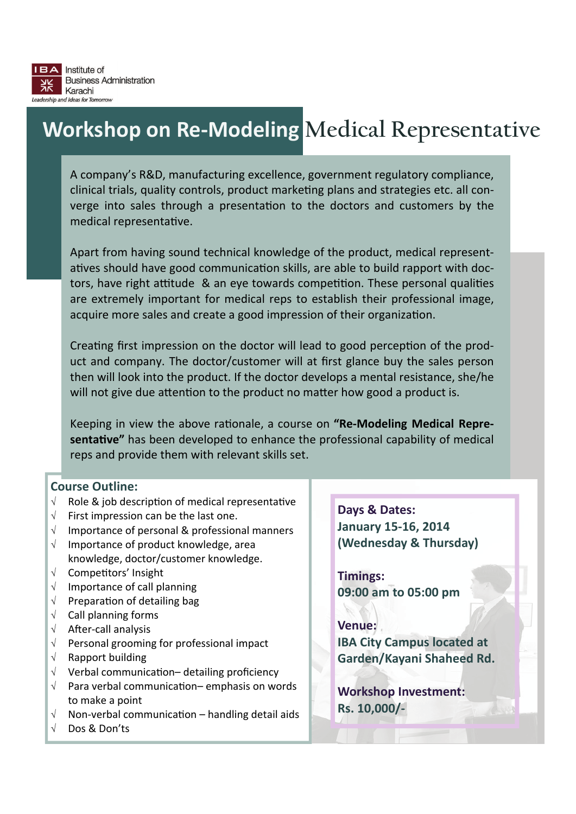# **Workshop on Re‐Modeling Medical Representative**

A company's R&D, manufacturing excellence, government regulatory compliance, clinical trials, quality controls, product marketing plans and strategies etc. all converge into sales through a presentation to the doctors and customers by the medical representative.

Apart from having sound technical knowledge of the product, medical represent‐ atives should have good communication skills, are able to build rapport with doctors, have right attitude & an eye towards competition. These personal qualities are extremely important for medical reps to establish their professional image, acquire more sales and create a good impression of their organization.

Creating first impression on the doctor will lead to good perception of the product and company. The doctor/customer will at first glance buy the sales person then will look into the product. If the doctor develops a mental resistance, she/he will not give due attention to the product no matter how good a product is.

Keeping in view the above rationale, a course on "Re-Modeling Medical Repre**sentative"** has been developed to enhance the professional capability of medical reps and provide them with relevant skills set.

#### **Course Outline:**

- $\sqrt{ }$  Role & job description of medical representative
- $\sqrt{ }$  First impression can be the last one.
- $\sqrt{ }$  Importance of personal & professional manners
- $\sqrt{ }$  Importance of product knowledge, area knowledge, doctor/customer knowledge.
- $\sqrt{ }$  Competitors' Insight
- $\sqrt{ }$  Importance of call planning
- $\sqrt{ }$  Preparation of detailing bag
- $\sqrt{\phantom{a}}$  Call planning forms
- $\sqrt{\phantom{a}}$  After-call analysis
- $\sqrt{ }$  Personal grooming for professional impact
- $\sqrt{ }$  Rapport building
- $\sqrt{ }$  Verbal communication– detailing proficiency
- $\sqrt{ }$  Para verbal communication– emphasis on words to make a point
- $\sqrt{\phantom{a}}$  Non-verbal communication handling detail aids
- Dos & Don'ts

**Days & Dates: January 15‐16, 2014 (Wednesday & Thursday)**

**Timings: 09:00 am to 05:00 pm**

**Venue: IBA City Campus located at Garden/Kayani Shaheed Rd.**

**Workshop Investment: Rs. 10,000/‐**